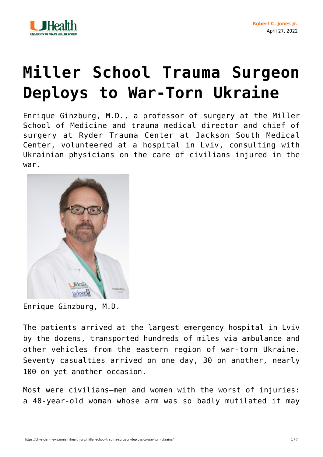

## **[Miller School Trauma Surgeon](https://physician-news.umiamihealth.org/miller-school-trauma-surgeon-deploys-to-war-torn-ukraine/) [Deploys to War-Torn Ukraine](https://physician-news.umiamihealth.org/miller-school-trauma-surgeon-deploys-to-war-torn-ukraine/)**

Enrique Ginzburg, M.D., a professor of surgery at the Miller School of Medicine and trauma medical director and chief of surgery at Ryder Trauma Center at Jackson South Medical Center, volunteered at a hospital in Lviv, consulting with Ukrainian physicians on the care of civilians injured in the war.



Enrique Ginzburg, M.D.

The patients arrived at the largest emergency hospital in Lviv by the dozens, transported hundreds of miles via ambulance and other vehicles from the eastern region of war-torn Ukraine. Seventy casualties arrived on one day, 30 on another, nearly 100 on yet another occasion.

Most were civilians—men and women with the worst of injuries: a 40-year-old woman whose arm was so badly mutilated it may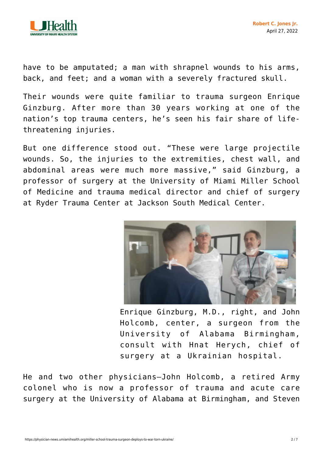

have to be amputated; a man with shrapnel wounds to his arms, back, and feet; and a woman with a severely fractured skull.

Their wounds were quite familiar to trauma surgeon Enrique Ginzburg. After more than 30 years working at one of the nation's top trauma centers, he's seen his fair share of lifethreatening injuries.

But one difference stood out. "These were large projectile wounds. So, the injuries to the extremities, chest wall, and abdominal areas were much more massive," said Ginzburg, a professor of surgery at the University of Miami Miller School of Medicine and trauma medical director and chief of surgery at Ryder Trauma Center at Jackson South Medical Center.



Enrique Ginzburg, M.D., right, and John Holcomb, center, a surgeon from the University of Alabama Birmingham, consult with Hnat Herych, chief of surgery at a Ukrainian hospital.

He and two other physicians—John Holcomb, a retired Army colonel who is now a professor of trauma and acute care surgery at the University of Alabama at Birmingham, and Steven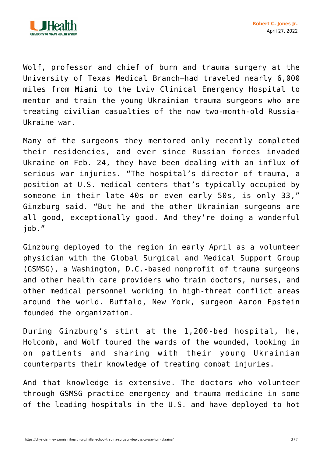

Wolf, professor and chief of burn and trauma surgery at the University of Texas Medical Branch—had traveled nearly 6,000 miles from Miami to the Lviv Clinical Emergency Hospital to mentor and train the young Ukrainian trauma surgeons who are treating civilian casualties of the now two-month-old Russia-Ukraine war.

Many of the surgeons they mentored only recently completed their residencies, and ever since Russian forces invaded Ukraine on Feb. 24, they have been dealing with an influx of serious war injuries. "The hospital's director of trauma, a position at U.S. medical centers that's typically occupied by someone in their late 40s or even early 50s, is only 33," Ginzburg said. "But he and the other Ukrainian surgeons are all good, exceptionally good. And they're doing a wonderful job."

Ginzburg deployed to the region in early April as a volunteer physician with the Global Surgical and Medical Support Group (GSMSG), a Washington, D.C.-based nonprofit of trauma surgeons and other health care providers who train doctors, nurses, and other medical personnel working in high-threat conflict areas around the world. Buffalo, New York, surgeon Aaron Epstein founded the organization.

During Ginzburg's stint at the 1,200-bed hospital, he, Holcomb, and Wolf toured the wards of the wounded, looking in on patients and sharing with their young Ukrainian counterparts their knowledge of treating combat injuries.

And that knowledge is extensive. The doctors who volunteer through GSMSG practice emergency and trauma medicine in some of the leading hospitals in the U.S. and have deployed to hot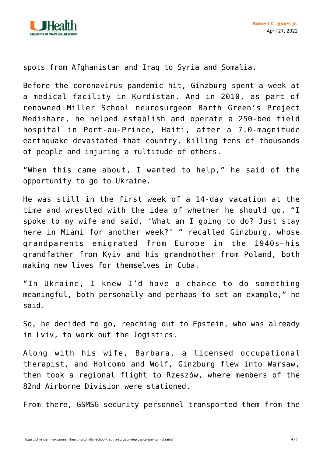

spots from Afghanistan and Iraq to Syria and Somalia.

Before the coronavirus pandemic hit, Ginzburg spent a week at a medical facility in Kurdistan. And in 2010, as part of renowned Miller School neurosurgeon Barth Green's Project Medishare, he helped establish and operate a 250-bed field hospital in Port-au-Prince, Haiti, after a 7.0-magnitude earthquake devastated that country, killing tens of thousands of people and injuring a multitude of others.

"When this came about, I wanted to help," he said of the opportunity to go to Ukraine.

He was still in the first week of a 14-day vacation at the time and wrestled with the idea of whether he should go. "I spoke to my wife and said, 'What am I going to do? Just stay here in Miami for another week?' " recalled Ginzburg, whose grandparents emigrated from Europe in the 1940s—his grandfather from Kyiv and his grandmother from Poland, both making new lives for themselves in Cuba.

"In Ukraine, I knew I'd have a chance to do something meaningful, both personally and perhaps to set an example," he said.

So, he decided to go, reaching out to Epstein, who was already in Lviv, to work out the logistics.

Along with his wife, Barbara, a licensed occupational therapist, and Holcomb and Wolf, Ginzburg flew into Warsaw, then took a regional flight to Rzeszów, where members of the 82nd Airborne Division were stationed.

From there, GSMSG security personnel transported them from the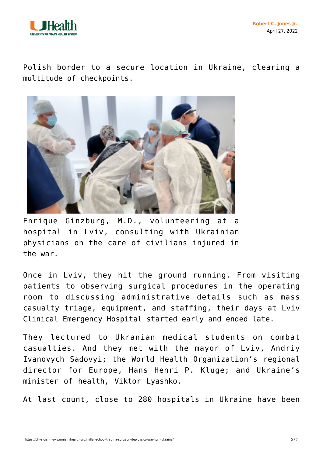

Polish border to a secure location in Ukraine, clearing a multitude of checkpoints.



Enrique Ginzburg, M.D., volunteering at a hospital in Lviv, consulting with Ukrainian physicians on the care of civilians injured in the war.

Once in Lviv, they hit the ground running. From visiting patients to observing surgical procedures in the operating room to discussing administrative details such as mass casualty triage, equipment, and staffing, their days at Lviv Clinical Emergency Hospital started early and ended late.

They lectured to Ukranian medical students on combat casualties. And they met with the mayor of Lviv, Andriy Ivanovych Sadovyi; the World Health Organization's regional director for Europe, Hans Henri P. Kluge; and Ukraine's minister of health, Viktor Lyashko.

At last count, close to 280 hospitals in Ukraine have been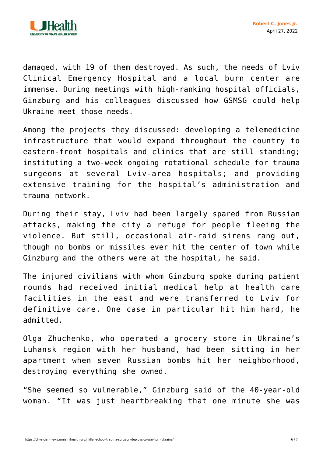

damaged, with 19 of them destroyed. As such, the needs of Lviv Clinical Emergency Hospital and a local burn center are immense. During meetings with high-ranking hospital officials, Ginzburg and his colleagues discussed how GSMSG could help Ukraine meet those needs.

Among the projects they discussed: developing a telemedicine infrastructure that would expand throughout the country to eastern-front hospitals and clinics that are still standing; instituting a two-week ongoing rotational schedule for trauma surgeons at several Lviv-area hospitals; and providing extensive training for the hospital's administration and trauma network.

During their stay, Lviv had been largely spared from Russian attacks, making the city a refuge for people fleeing the violence. But still, occasional air-raid sirens rang out, though no bombs or missiles ever hit the center of town while Ginzburg and the others were at the hospital, he said.

The injured civilians with whom Ginzburg spoke during patient rounds had received initial medical help at health care facilities in the east and were transferred to Lviv for definitive care. One case in particular hit him hard, he admitted.

Olga Zhuchenko, who operated a grocery store in Ukraine's Luhansk region with her husband, had been sitting in her apartment when seven Russian bombs hit her neighborhood, destroying everything she owned.

"She seemed so vulnerable," Ginzburg said of the 40-year-old woman. "It was just heartbreaking that one minute she was